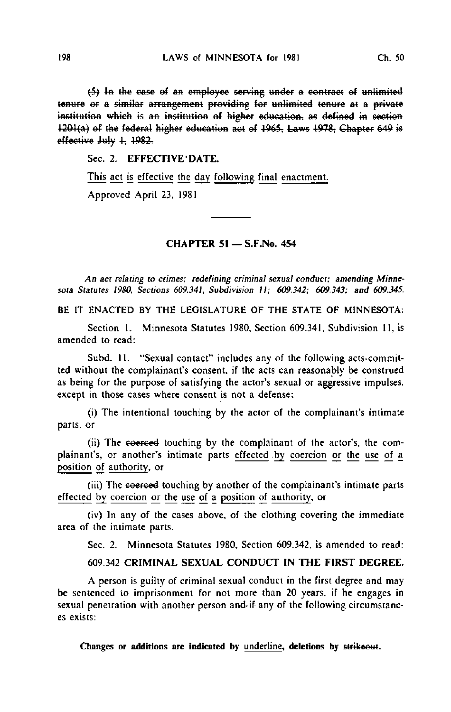(5) In the case of an employee serving under a contract of unlimited tenure or a similar arrangement providing for unlimited tenure at a private institution which is an institution of higher education, as defined in section  $1201(a)$  of the federal higher education act of  $1965$ , Laws  $1978$ , Chapter 649 is effective July 1, 1982.

Sec. 2. EFFECTIVE'DATE.

This act is effective the day following final enactment.

Approved April 23. 1981

## CHAPTER 51 — S.F.No. 454

An act relating to crimes; redefining criminal sexual conduct; amending Minnesota Statutes 1980, Sections 609.341, Subdivision It; 609.342; 609.343; and 609.345.

BE IT ENACTED BY THE LEGISLATURE OF THE STATE OF MINNESOTA:

Section 1. Minnesota Statutes 1980, Section 609.341, Subdivision 11, is amended to read:

Subd. 11. "Sexual contact" includes any of the following acts-committed without the complainant's consent, if the acts can reasonably be construed as being for the purpose of satisfying the actor's sexual or aggressive impulses, except in those cases where consent is not a defense:

(i) The intentional touching by the actor of the complainant's intimate parts, or

(ii) The coerced touching by the complainant of the actor's, the complainant's, or another's intimate parts effected by coercion or the use of a position of authority, or

(iii) The coerced touching by another of the complainant's intimate parts effected by coercion or the use of a position of authority, or

(iv) In any of the cases above, of the clothing covering the immediate area of the intimate parts.

Sec. 2. Minnesota Statutes 1980. Section 609.342, is amended to read:

## 609.342 CRIMINAL SEXUAL CONDUCT IN THE FIRST DEGREE.

A person is guilty of criminal sexual conduct in the first degree and may be sentenced io imprisonment for not more than 20 years, if he engages in sexual penetration with another person and-if any of the following circumstances exists: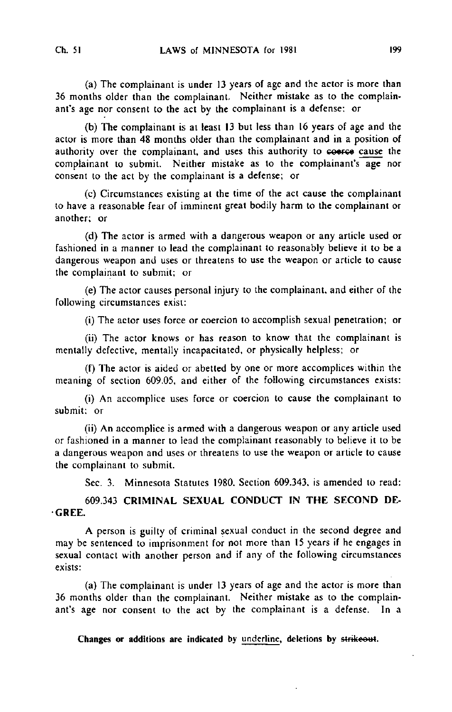(a) The complainant is under 13 years of age and the actor is more than 36 months older than the complainant. Neither mistake as to the complainant's age nor consent to the act by the complainant is a defense: or

(b) The complainant is at least 13 but less than 16 years of age and the actor is more than 48 months older than the complainant and in a position of authority over the complainant, and uses this authority to coerce cause the complainant to submit. Neither mistake as to the complainant's age nor consent to the act by the complainant is a defense; or

(c) Circumstances existing at the time of the act cause the complainant to have a reasonable fear of imminent great bodily harm to the complainant or another; or

(d) The actor is armed with a dangerous weapon or any article used or fashioned in a manner to lead the complainant to reasonably believe it to be a dangerous weapon and uses or threatens to use the weapon or article to cause the complainant to submit; or

(e) The actor causes personal injury to the complainant, and either of the following circumstances exist:

(i) The actor uses force or coercion to accomplish sexual penetration; or

(ii) The actor knows or has reason to know that the complainant is mentally defective, mentally incapacitated, or physically helpless; or

(f) The actor is aided or abetted by one or more accomplices within the meaning of section 609.05, and either of the following circumstances exists:

(i) An accomplice uses force or coercion to cause the complainant to submit: or

(ii) An accomplice is armed with a dangerous weapon or any article used or fashioned in a manner to lead the complainant reasonably to believe it to be a dangerous weapon and uses or threatens to use the weapon or article to cause the complainant to submit.

Sec. 3. Minnesota Statutes 1980, Section 609.343, is amended to read:

609.343 CRIMINAL SEXUAL CONDUCT IN THE SECOND DE-GREE.

A person is guilty of criminal sexual conduct in the second degree and may be sentenced to imprisonment for not more than 15 years if he engages in sexual contact with another person and if any of the following circumstances exists:

(a) The complainant is under 13 years of age and the actor is more than 36 months older than the complainant. Neither mistake as to the complainant's age nor consent to the act by the complainant is a defense. In a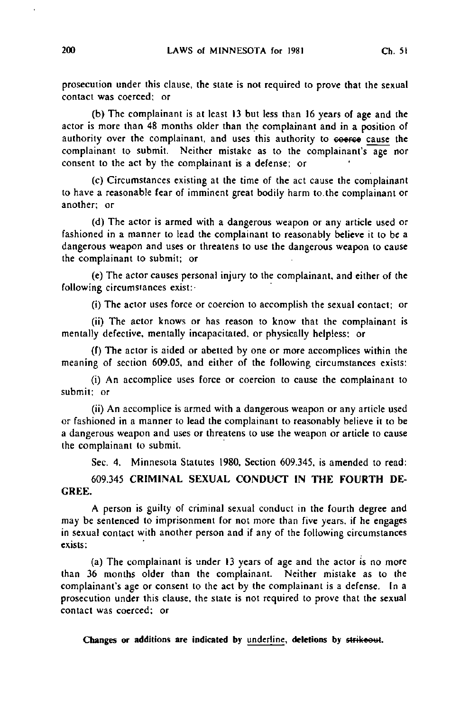prosecution under this clause, the state is not required to prove that the sexual contact was coerced; or

(b) The complainant is at least 13 but less than 16 years of age and the actor is more than 48 months older than the complainant and in a position of authority over the complainant, and uses this authority to coerce cause the complainant to submit. Neither mistake as to the complainant's age nor consent to the act by the complainant is a defense; or

(c) Circumstances existing at the time of the act cause the complainant to have a reasonable fear of imminent great bodily harm to.the complainant or another; or

(d) The actor is armed with a dangerous weapon or any article used or fashioned in a manner to lead the complainant to reasonably believe it to be a dangerous weapon and uses or threatens to use the dangerous weapon to cause the complainant to submit; or

(e) The actor causes personal injury to the complainant, and either of the following circumstances exist:-

(i) The actor uses force or coercion to accomplish the sexual contact; or

(ii) The actor knows or has reason to know that the complainant is mentally defective, mentally incapacitated, or physically helpless: or

(f) The actor is aided or abetted by one or more accomplices within the meaning of section 609.05, and either of the following circumstances exists:

(i) An accomplice uses force or coercion to cause the complainant to submit; or

(ii) An accomplice is armed with a dangerous weapon or any article used or fashioned in a manner to lead the complainant to reasonably believe it to be a dangerous weapon and uses or threatens to use the weapon or article to cause the complainant to submit.

Sec. 4. Minnesota Statutes 1980, Section 609.345, is amended to read:

609.345 CRIMINAL SEXUAL CONDUCT IN THE FOURTH DE-GREE.

A person is guilty of criminal sexual conduct in the fourth degree and may be sentenced to imprisonment for not more than five years, if he engages in sexual contact with another person and if any of the following circumstances exists:

(a) The complainant is under 13 years of age and the actor is no more than 36 months older than the complainant. Neither mistake as to the complainant's age or consent to the act by the complainant is a defense. In a prosecution under this clause, the state is not required to prove that the sexual contact was coerced; or